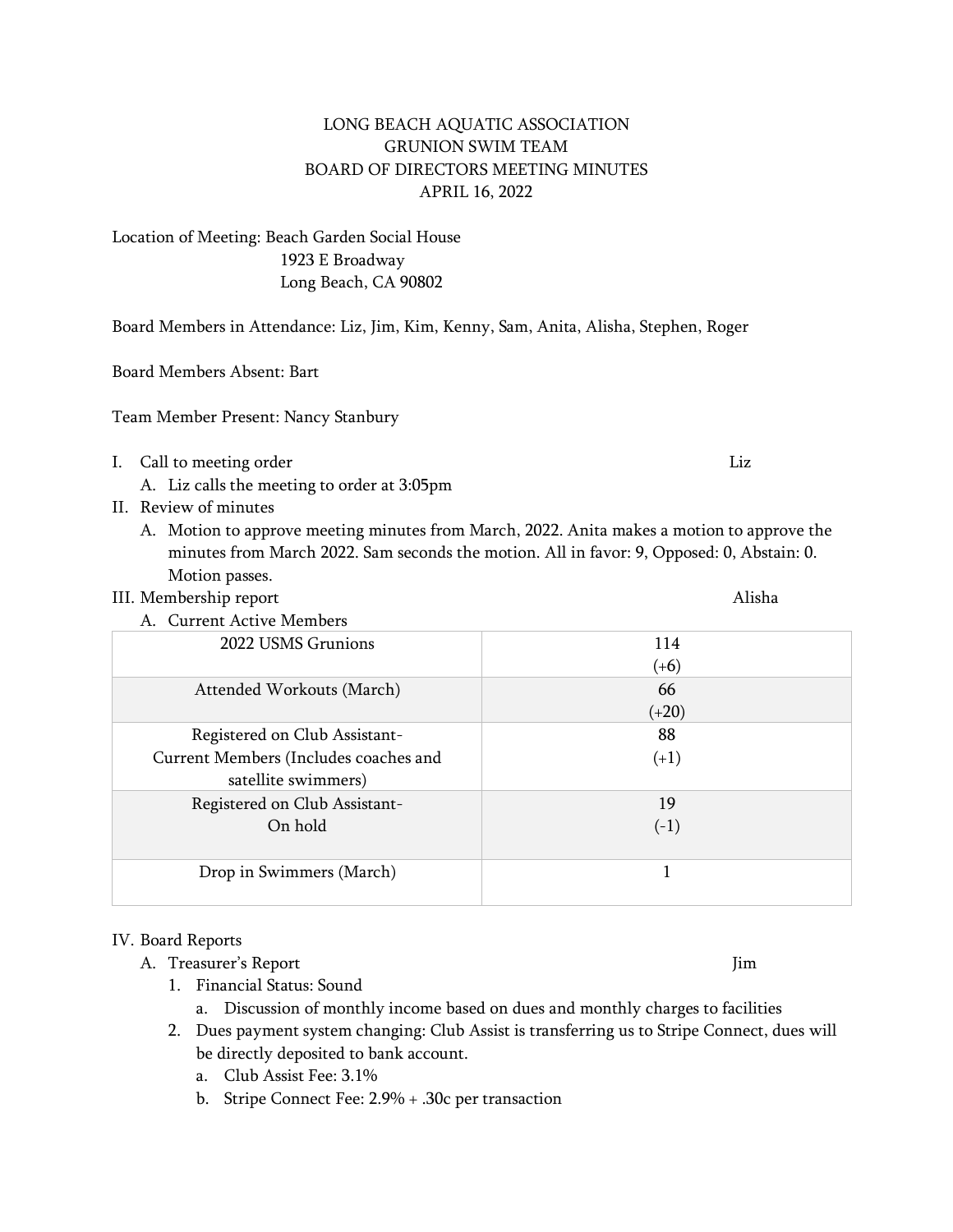## LONG BEACH AQUATIC ASSOCIATION GRUNION SWIM TEAM BOARD OF DIRECTORS MEETING MINUTES APRIL 16, 2022

Location of Meeting: Beach Garden Social House 1923 E Broadway Long Beach, CA 90802

Board Members in Attendance: Liz, Jim, Kim, Kenny, Sam, Anita, Alisha, Stephen, Roger

Board Members Absent: Bart

Team Member Present: Nancy Stanbury

- I. Call to meeting order Liz
	- A. Liz calls the meeting to order at 3:05pm
- II. Review of minutes
	- A. Motion to approve meeting minutes from March, 2022. Anita makes a motion to approve the minutes from March 2022. Sam seconds the motion. All in favor: 9, Opposed: 0, Abstain: 0. Motion passes.
- III. Membership report **Alisha** 
	- A. Current Active Members

| 11. Gallent Ireli ve Mendelb          |         |  |
|---------------------------------------|---------|--|
| 2022 USMS Grunions                    | 114     |  |
|                                       | $(+6)$  |  |
| Attended Workouts (March)             | 66      |  |
|                                       | $(+20)$ |  |
| Registered on Club Assistant-         | 88      |  |
| Current Members (Includes coaches and | $(+1)$  |  |
| satellite swimmers)                   |         |  |
| Registered on Club Assistant-         | 19      |  |
| On hold                               | $(-1)$  |  |
|                                       |         |  |
| Drop in Swimmers (March)              |         |  |
|                                       |         |  |

## IV. Board Reports

A. Treasurer's Report **Jim** 

- 1. Financial Status: Sound
	- a. Discussion of monthly income based on dues and monthly charges to facilities
- 2. Dues payment system changing: Club Assist is transferring us to Stripe Connect, dues will be directly deposited to bank account.
	- a. Club Assist Fee: 3.1%
	- b. Stripe Connect Fee: 2.9% + .30c per transaction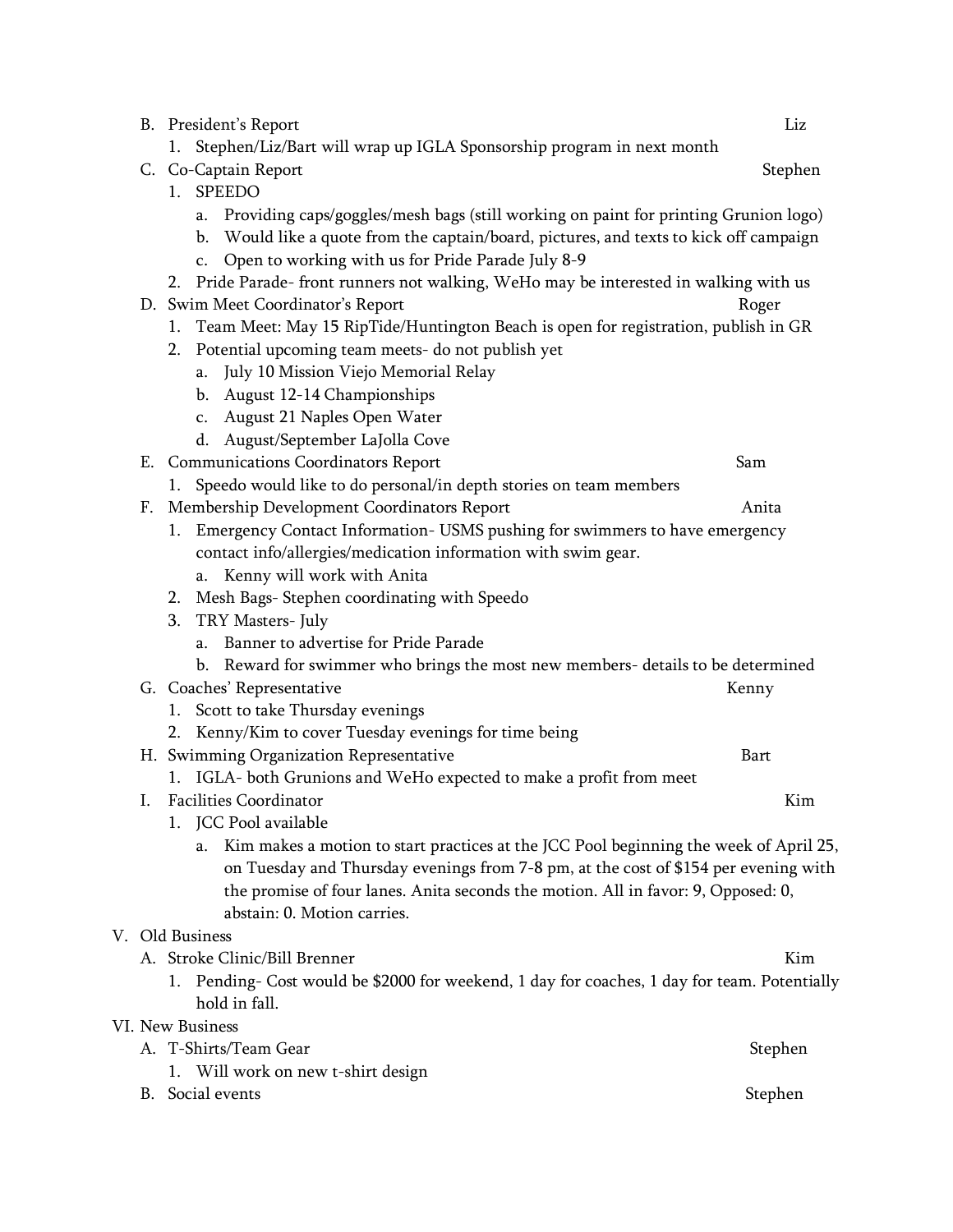|                                                                                                               | B. President's Report                                                                                                                                                                                                                                                                                  | Liz         |
|---------------------------------------------------------------------------------------------------------------|--------------------------------------------------------------------------------------------------------------------------------------------------------------------------------------------------------------------------------------------------------------------------------------------------------|-------------|
|                                                                                                               | Stephen/Liz/Bart will wrap up IGLA Sponsorship program in next month<br>1.                                                                                                                                                                                                                             |             |
|                                                                                                               | C. Co-Captain Report                                                                                                                                                                                                                                                                                   | Stephen     |
|                                                                                                               | 1. SPEEDO                                                                                                                                                                                                                                                                                              |             |
|                                                                                                               | Providing caps/goggles/mesh bags (still working on paint for printing Grunion logo)<br>b. Would like a quote from the captain/board, pictures, and texts to kick off campaign<br>Open to working with us for Pride Parade July 8-9                                                                     |             |
|                                                                                                               | c.<br>2. Pride Parade-front runners not walking, WeHo may be interested in walking with us                                                                                                                                                                                                             |             |
|                                                                                                               | D. Swim Meet Coordinator's Report                                                                                                                                                                                                                                                                      | Roger       |
|                                                                                                               | 1. Team Meet: May 15 RipTide/Huntington Beach is open for registration, publish in GR                                                                                                                                                                                                                  |             |
| 2. Potential upcoming team meets- do not publish yet                                                          |                                                                                                                                                                                                                                                                                                        |             |
|                                                                                                               | July 10 Mission Viejo Memorial Relay<br>a.                                                                                                                                                                                                                                                             |             |
|                                                                                                               | August 12-14 Championships<br>b.                                                                                                                                                                                                                                                                       |             |
|                                                                                                               | c. August 21 Naples Open Water                                                                                                                                                                                                                                                                         |             |
|                                                                                                               | d. August/September LaJolla Cove                                                                                                                                                                                                                                                                       |             |
|                                                                                                               | E. Communications Coordinators Report                                                                                                                                                                                                                                                                  | Sam         |
|                                                                                                               | Speedo would like to do personal/in depth stories on team members                                                                                                                                                                                                                                      |             |
| F.                                                                                                            | Membership Development Coordinators Report                                                                                                                                                                                                                                                             | Anita       |
|                                                                                                               | Emergency Contact Information- USMS pushing for swimmers to have emergency<br>1.                                                                                                                                                                                                                       |             |
|                                                                                                               | contact info/allergies/medication information with swim gear.                                                                                                                                                                                                                                          |             |
|                                                                                                               | a. Kenny will work with Anita                                                                                                                                                                                                                                                                          |             |
|                                                                                                               | 2. Mesh Bags-Stephen coordinating with Speedo                                                                                                                                                                                                                                                          |             |
|                                                                                                               | 3.<br>TRY Masters- July                                                                                                                                                                                                                                                                                |             |
|                                                                                                               | Banner to advertise for Pride Parade<br>a.                                                                                                                                                                                                                                                             |             |
|                                                                                                               | b. Reward for swimmer who brings the most new members- details to be determined                                                                                                                                                                                                                        |             |
|                                                                                                               | G. Coaches' Representative                                                                                                                                                                                                                                                                             | Kenny       |
|                                                                                                               | 1. Scott to take Thursday evenings                                                                                                                                                                                                                                                                     |             |
|                                                                                                               | 2. Kenny/Kim to cover Tuesday evenings for time being                                                                                                                                                                                                                                                  |             |
|                                                                                                               | H. Swimming Organization Representative                                                                                                                                                                                                                                                                | <b>Bart</b> |
|                                                                                                               | IGLA- both Grunions and WeHo expected to make a profit from meet                                                                                                                                                                                                                                       |             |
| Facilities Coordinator<br>Kim<br>Ι.                                                                           |                                                                                                                                                                                                                                                                                                        |             |
|                                                                                                               | JCC Pool available<br>1.                                                                                                                                                                                                                                                                               |             |
|                                                                                                               | Kim makes a motion to start practices at the JCC Pool beginning the week of April 25,<br>a.<br>on Tuesday and Thursday evenings from 7-8 pm, at the cost of \$154 per evening with<br>the promise of four lanes. Anita seconds the motion. All in favor: 9, Opposed: 0,<br>abstain: 0. Motion carries. |             |
|                                                                                                               | V. Old Business                                                                                                                                                                                                                                                                                        |             |
|                                                                                                               | A. Stroke Clinic/Bill Brenner                                                                                                                                                                                                                                                                          | Kim         |
| 1. Pending- Cost would be \$2000 for weekend, 1 day for coaches, 1 day for team. Potentially<br>hold in fall. |                                                                                                                                                                                                                                                                                                        |             |
| VI. New Business                                                                                              |                                                                                                                                                                                                                                                                                                        |             |
|                                                                                                               | A. T-Shirts/Team Gear                                                                                                                                                                                                                                                                                  | Stephen     |
|                                                                                                               | 1. Will work on new t-shirt design                                                                                                                                                                                                                                                                     |             |
|                                                                                                               | B. Social events                                                                                                                                                                                                                                                                                       | Stephen     |
|                                                                                                               |                                                                                                                                                                                                                                                                                                        |             |